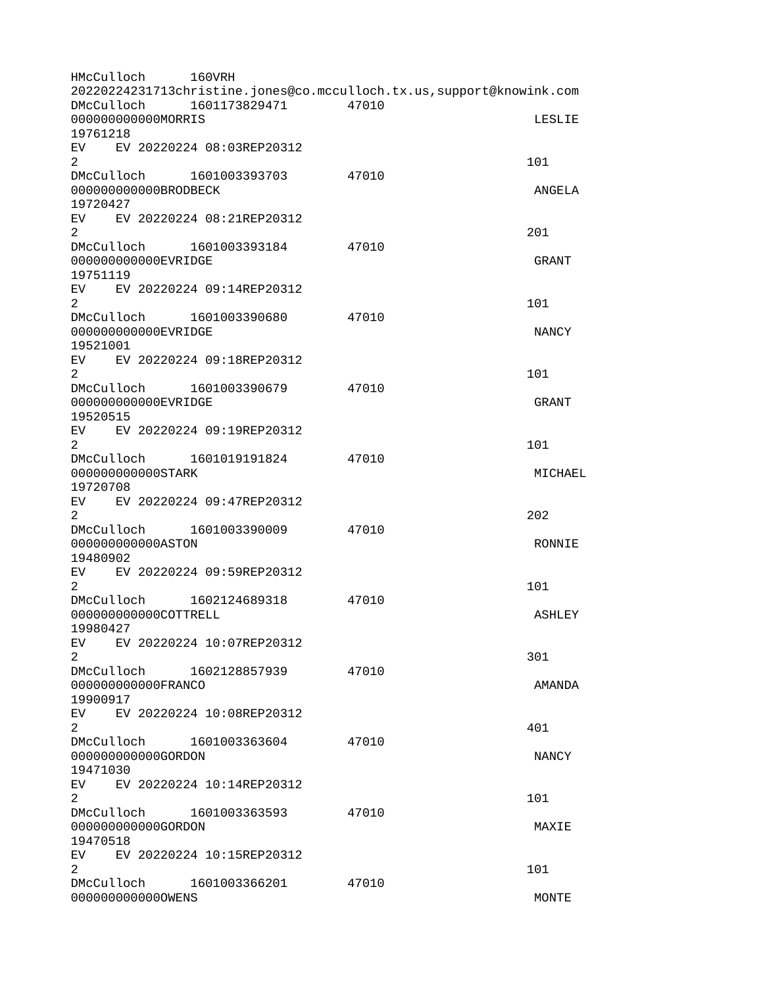HMcCulloch 160VRH 20220224231713christine.jones@co.mcculloch.tx.us,support@knowink.com DMcCulloch 1601173829471 47010 000000000000MORRIS LESLIE 19761218 EV EV 20220224 08:03REP20312  $2 \t 101$ DMcCulloch 1601003393703 47010 000000000000BRODBECK ANGELA 19720427 EV EV 20220224 08:21REP20312  $2<sup>2</sup>$ DMcCulloch 1601003393184 47010 000000000000EVRIDGE GRANT GRANT GRANT 19751119 EV EV 20220224 09:14REP20312  $2 \t 101$ DMcCulloch 1601003390680 47010 000000000000EVRIDGE NANCY 19521001 EV EV 20220224 09:18REP20312  $2 \t 101$ DMcCulloch 1601003390679 47010 000000000000EVRIDGE GRANT 19520515 EV EV 20220224 09:19REP20312  $2 \t 101$ DMcCulloch 1601019191824 47010 000000000000STARK MICHAEL 19720708 EV EV 20220224 09:47REP20312  $2^2$ DMcCulloch 1601003390009 47010 000000000000ASTON RONNIE 19480902 EV EV 20220224 09:59REP20312  $2 \t 101$ DMcCulloch 1602124689318 47010 000000000000COTTRELL ASHLEY 19980427 EV EV 20220224 10:07REP20312  $2\,$ DMcCulloch 1602128857939 47010 000000000000FRANCO AMANDA 19900917 EV EV 20220224 10:08REP20312  $2 \times 401$ DMcCulloch 1601003363604 47010 000000000000GORDON NANCY 19471030 EV EV 20220224 10:14REP20312  $2 \t 101$ DMcCulloch 1601003363593 47010 000000000000GORDON MAXIE 19470518 EV EV 20220224 10:15REP20312  $2 \t 101$ DMcCulloch 1601003366201 47010 000000000000OWENS MONTE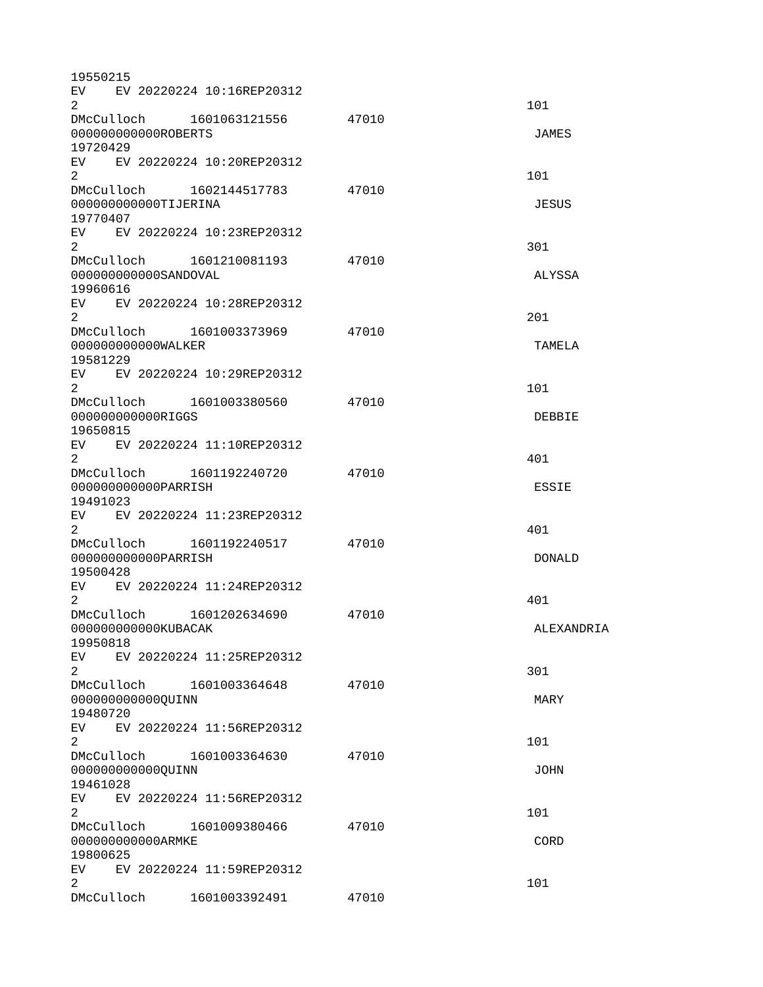| 19550215                     |  |                                |       |               |
|------------------------------|--|--------------------------------|-------|---------------|
| $\overline{2}$               |  | EV EV 20220224 10:16REP20312   |       | 101           |
|                              |  | DMcCulloch 1601063121556 47010 |       |               |
| 000000000000R0BERTS          |  |                                |       | <b>JAMES</b>  |
| 19720429                     |  |                                |       |               |
| $\overline{2}$               |  | EV EV 20220224 10:20REP20312   |       | 101           |
|                              |  | DMcCulloch 1602144517783 47010 |       |               |
| 000000000000TIJERINA         |  |                                |       | <b>JESUS</b>  |
| 19770407                     |  |                                |       |               |
|                              |  | EV EV 20220224 10:23REP20312   |       |               |
| $\overline{2}$               |  |                                |       | 301           |
|                              |  | DMcCulloch 1601210081193       | 47010 |               |
| 000000000000SANDOVAL         |  |                                |       | ALYSSA        |
| 19960616                     |  |                                |       |               |
|                              |  | EV EV 20220224 10:28REP20312   |       |               |
| $\overline{2}$               |  |                                |       | 201           |
|                              |  | DMcCulloch 1601003373969 47010 |       |               |
| 000000000000WALKER           |  |                                |       | <b>TAMELA</b> |
| 19581229                     |  |                                |       |               |
|                              |  | EV EV 20220224 10:29REP20312   |       |               |
| 2 <sup>1</sup>               |  |                                |       | 101           |
|                              |  | DMcCulloch 1601003380560       | 47010 |               |
| 00000000000RIGGS             |  |                                |       | <b>DEBBIE</b> |
| 19650815                     |  |                                |       |               |
|                              |  | EV EV 20220224 11:10REP20312   |       |               |
| $\overline{2}$               |  |                                |       | 401           |
|                              |  |                                | 47010 |               |
| 00000000000PARRISH           |  |                                |       | <b>ESSIE</b>  |
| 19491023                     |  |                                |       |               |
|                              |  | EV EV 20220224 11:23REP20312   |       |               |
| $2^{\circ}$                  |  |                                |       | 401           |
|                              |  |                                | 47010 |               |
| 000000000000PARRISH          |  |                                |       | <b>DONALD</b> |
| 19500428                     |  |                                |       |               |
|                              |  | EV EV 20220224 11:24REP20312   |       |               |
| $\mathbf{2}^{\prime}$        |  |                                |       | 401           |
|                              |  | DMcCulloch 1601202634690       | 47010 |               |
| 000000000000KUBACAK          |  |                                |       | ALEXANDRIA    |
| 19950818                     |  | EV EV 20220224 11:25REP20312   |       |               |
| $2^{\circ}$                  |  |                                |       | 301           |
|                              |  | DMcCulloch 1601003364648 47010 |       |               |
| 000000000000QUINN            |  |                                |       | MARY          |
| 19480720                     |  |                                |       |               |
|                              |  | EV EV 20220224 11:56REP20312   |       |               |
| 2 <sup>1</sup>               |  |                                |       | 101           |
|                              |  | DMcCulloch 1601003364630       | 47010 |               |
| 0000000000000UINN            |  |                                |       | JOHN          |
| 19461028                     |  |                                |       |               |
|                              |  | EV EV 20220224 11:56REP20312   |       |               |
| $\overline{2}$               |  |                                |       | 101           |
|                              |  | DMcCulloch 1601009380466       | 47010 |               |
| 00000000000ARMKE             |  |                                |       | <b>CORD</b>   |
| 19800625                     |  |                                |       |               |
| EV EV 20220224 11:59REP20312 |  |                                |       |               |
| $\overline{2}$               |  |                                |       | 101           |
|                              |  | DMcCulloch  1601003392491      | 47010 |               |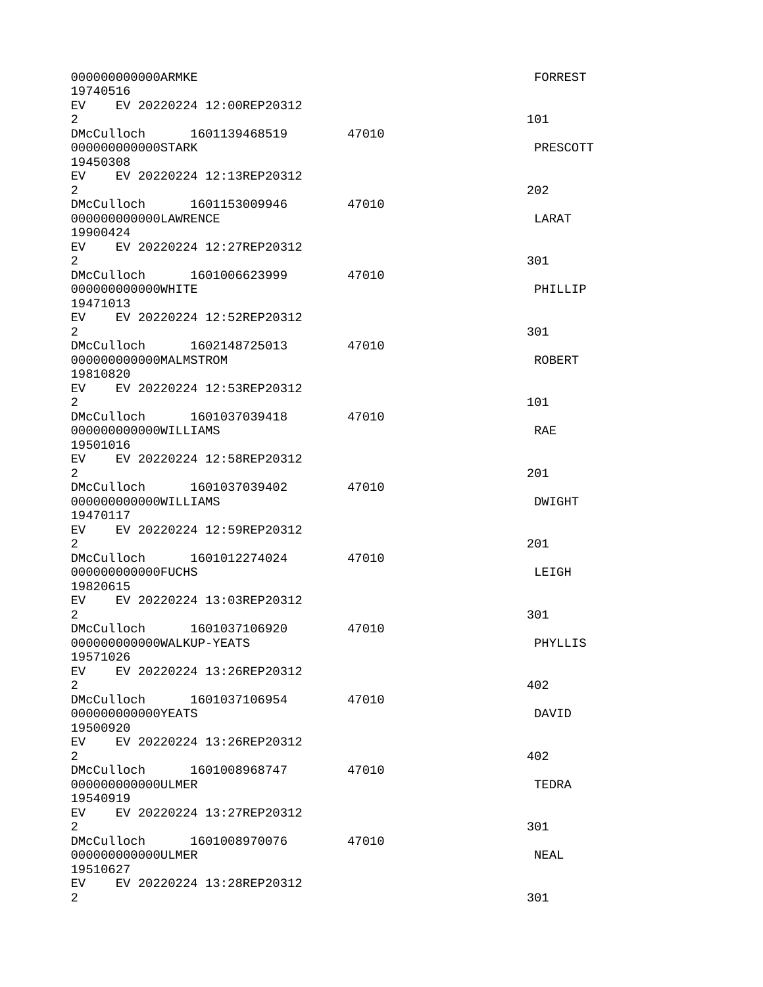| 000000000000ARMKE<br>19740516                                                                                                                                                                                                                                                             |       | FORREST         |
|-------------------------------------------------------------------------------------------------------------------------------------------------------------------------------------------------------------------------------------------------------------------------------------------|-------|-----------------|
| EV EV 20220224 12:00REP20312<br>$\overline{2}$                                                                                                                                                                                                                                            |       | 101             |
| DMcCulloch 1601139468519<br>47010<br>000000000000STARK<br>19450308                                                                                                                                                                                                                        |       | <b>PRESCOTT</b> |
| EV EV 20220224 12:13REP20312<br>2                                                                                                                                                                                                                                                         |       | 202             |
| DMcCulloch 1601153009946<br>000000000000LAWRENCE<br>19900424                                                                                                                                                                                                                              | 47010 | LARAT           |
| EV EV 20220224 12:27REP20312<br>$\overline{2}$                                                                                                                                                                                                                                            |       | 301             |
| DMcCulloch 1601006623999<br>47010<br>000000000000WHITE<br>19471013                                                                                                                                                                                                                        |       | PHILLIP         |
| EV.<br>EV 20220224 12:52REP20312<br>2                                                                                                                                                                                                                                                     |       | 301             |
| DMcCulloch 1602148725013<br>47010<br>000000000000MALMSTROM<br>19810820                                                                                                                                                                                                                    |       | <b>ROBERT</b>   |
| EV EV 20220224 12:53REP20312<br>$\overline{2}$                                                                                                                                                                                                                                            |       | 101             |
| DMcCulloch 1601037039418<br>000000000000WILLIAMS<br>19501016                                                                                                                                                                                                                              | 47010 | <b>RAE</b>      |
| EV EV 20220224 12:58REP20312<br>$\overline{2}$                                                                                                                                                                                                                                            |       | 201             |
| DMcCulloch 1601037039402<br>000000000000WILLIAMS<br>19470117                                                                                                                                                                                                                              | 47010 | DWIGHT          |
| EV EV 20220224 12:59REP20312<br>$\overline{2}$                                                                                                                                                                                                                                            |       | 201             |
| DMcCulloch  1601012274024  47010<br>00000000000FUCHS<br>19820615                                                                                                                                                                                                                          |       | LEIGH           |
| EV.<br>EV 20220224 13:03REP20312<br>2                                                                                                                                                                                                                                                     |       | 301             |
| DMcCulloch 1601037106920<br>000000000000WALKUP-YEATS<br>19571026                                                                                                                                                                                                                          | 47010 | PHYLLIS         |
| EV EV 20220224 13:26REP20312<br>$\mathbf{2}$                                                                                                                                                                                                                                              |       | 402             |
| DMcCulloch 1601037106954<br>00000000000YEATS<br>19500920                                                                                                                                                                                                                                  | 47010 | DAVID           |
| EV  <br>EV 20220224 13:26REP20312<br>$\overline{2}$                                                                                                                                                                                                                                       |       | 402             |
| DMcCulloch 1601008968747<br>000000000000ULMER<br>19540919                                                                                                                                                                                                                                 | 47010 | TEDRA           |
| EV EV 20220224 13:27REP20312<br>$\mathbf{2}^{\prime}$                                                                                                                                                                                                                                     |       | 301             |
| DMcCulloch 1601008970076<br>000000000000ULMER                                                                                                                                                                                                                                             | 47010 | <b>NEAL</b>     |
| 19510627<br>EV and the set of the set of the set of the set of the set of the set of the set of the set of the set of the set of the set of the set of the set of the set of the set of the set of the set of the set of the set of the se<br>EV 20220224 13:28REP20312<br>$\overline{2}$ |       | 301             |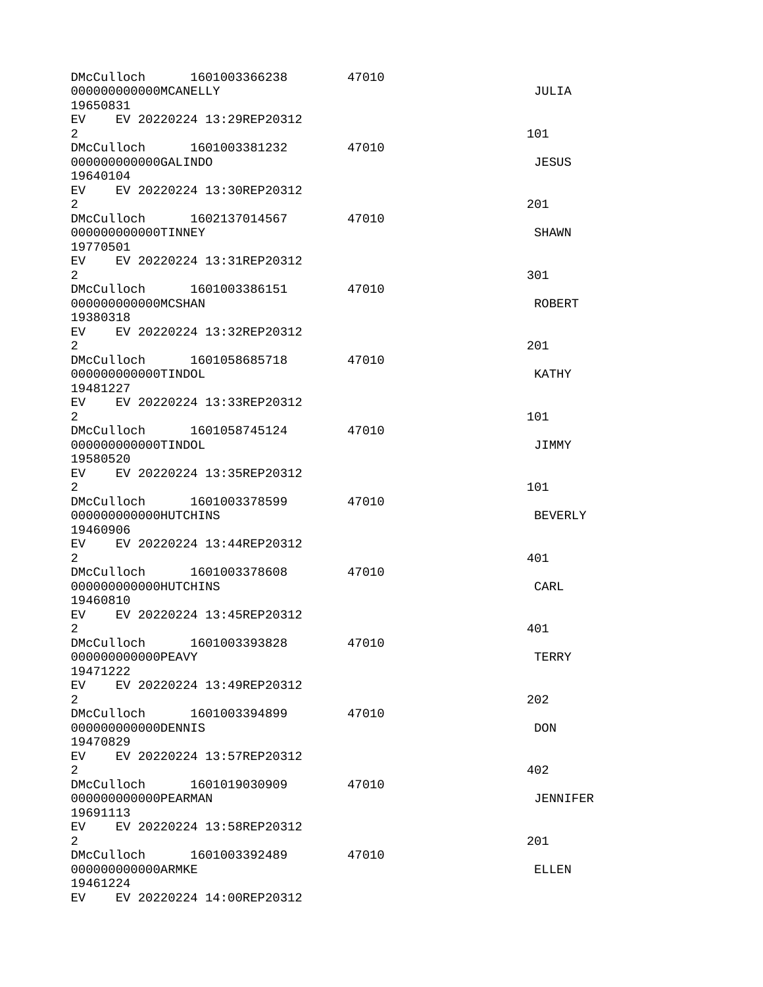| DMcCulloch<br>000000000000MCANELLY<br>19650831 | 1601003366238                  | 47010 | <b>JULIA</b>   |
|------------------------------------------------|--------------------------------|-------|----------------|
| $\overline{2}$                                 | EV EV 20220224 13:29REP20312   |       | 101            |
| 000000000000GALINDO<br>19640104                | DMcCulloch 1601003381232       | 47010 | <b>JESUS</b>   |
| $\overline{2}$                                 | EV EV 20220224 13:30REP20312   |       | 201            |
| 000000000000TINNEY<br>19770501                 | DMcCulloch  1602137014567      | 47010 | <b>SHAWN</b>   |
| $\overline{2}$                                 | EV EV 20220224 13:31REP20312   |       | 301            |
| 000000000000MCSHAN<br>19380318                 | DMcCulloch 1601003386151 47010 |       | <b>ROBERT</b>  |
| EV  <br>$\overline{2}$                         | EV 20220224 13:32REP20312      |       | 201            |
| 000000000000TINDOL<br>19481227                 | DMcCulloch 1601058685718       | 47010 | <b>KATHY</b>   |
| $\overline{2}$                                 | EV EV 20220224 13:33REP20312   |       | 101            |
| 000000000000TINDOL<br>19580520                 |                                | 47010 | JIMMY          |
| $\overline{2}$                                 | EV EV 20220224 13:35REP20312   |       | 101            |
| 000000000000HUTCHINS<br>19460906               | DMcCulloch 1601003378599       | 47010 | <b>BEVERLY</b> |
| $\overline{2}$                                 | EV EV 20220224 13:44REP20312   |       | 401            |
| 000000000000HUTCHINS<br>19460810               | DMcCulloch 1601003378608       | 47010 | CARL           |
| EV.<br>2                                       | EV 20220224 13:45REP20312      |       | 401            |
| DMcCulloch<br>00000000000PEAVY<br>19471222     | 1601003393828                  | 47010 | <b>TERRY</b>   |
| 2                                              | EV EV 20220224 13:49REP20312   |       | 202            |
| 00000000000DENNIS<br>19470829                  | DMcCulloch 1601003394899       | 47010 | <b>DON</b>     |
| $\overline{2}$                                 | EV EV 20220224 13:57REP20312   |       | 402            |
| 00000000000PEARMAN<br>19691113                 | DMcCulloch 1601019030909       | 47010 | JENNIFER       |
| 2                                              | EV EV 20220224 13:58REP20312   |       | 201            |
| 00000000000ARMKE<br>19461224                   | DMcCulloch 1601003392489       | 47010 | <b>ELLEN</b>   |
|                                                | EV EV 20220224 14:00REP20312   |       |                |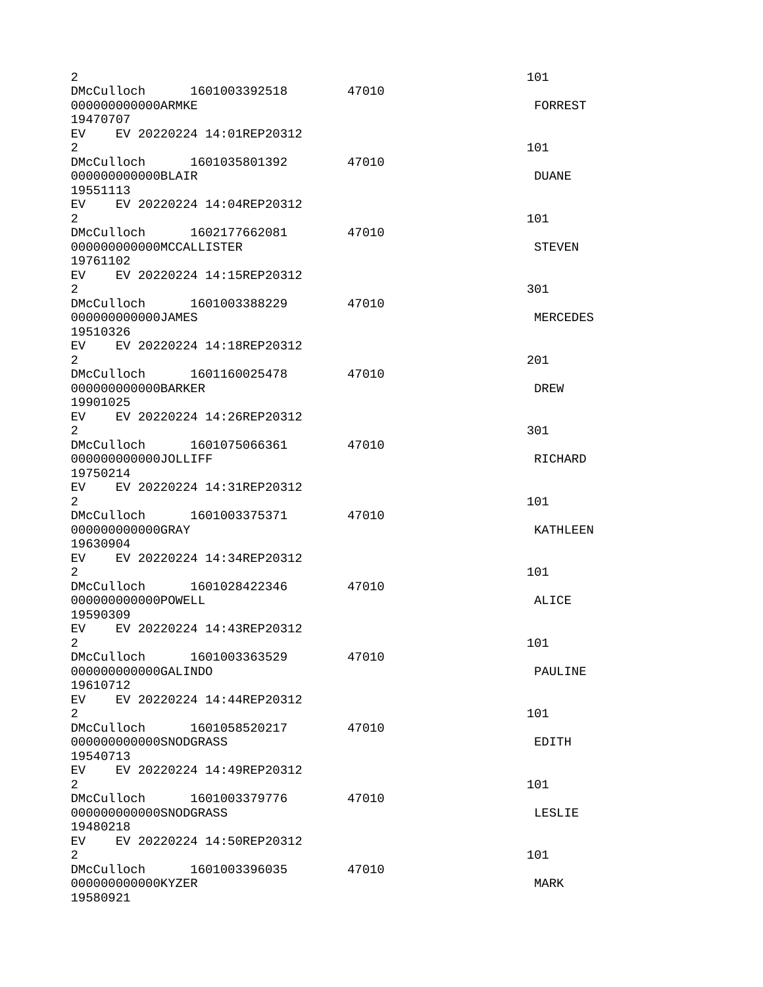| $\overline{2}$                                                                                                                                                                                                                                                      |                                |       | 101             |
|---------------------------------------------------------------------------------------------------------------------------------------------------------------------------------------------------------------------------------------------------------------------|--------------------------------|-------|-----------------|
| 000000000000ARMKE                                                                                                                                                                                                                                                   | DMcCulloch 1601003392518 47010 |       | <b>FORREST</b>  |
| 19470707                                                                                                                                                                                                                                                            |                                |       |                 |
| EV EV 20220224 14:01REP20312<br>$\overline{2}$<br>DMcCulloch 1601035801392                                                                                                                                                                                          |                                | 47010 | 101             |
| 000000000000BLAIR<br>19551113                                                                                                                                                                                                                                       |                                |       | <b>DUANE</b>    |
| EV EV 20220224 14:04REP20312<br>$2^{\circ}$                                                                                                                                                                                                                         |                                |       | 101             |
| DMcCulloch 1602177662081<br>000000000000MCCALLISTER<br>19761102                                                                                                                                                                                                     |                                | 47010 | <b>STEVEN</b>   |
| EV EV 20220224 14:15REP20312<br>$\overline{2}$                                                                                                                                                                                                                      |                                |       | 301             |
| DMcCulloch 1601003388229<br>000000000000JAMES<br>19510326                                                                                                                                                                                                           |                                | 47010 | MERCEDES        |
| EV EV 20220224 14:18REP20312<br>$\overline{2}$                                                                                                                                                                                                                      |                                |       | 201             |
| DMcCulloch 1601160025478<br>000000000000BARKER<br>19901025                                                                                                                                                                                                          |                                | 47010 | <b>DREW</b>     |
| EV EV 20220224 14:26REP20312<br>2                                                                                                                                                                                                                                   |                                |       | 301             |
| DMcCulloch 1601075066361<br>000000000000JOLLIFF<br>19750214                                                                                                                                                                                                         |                                | 47010 | <b>RICHARD</b>  |
| EV EV 20220224 14:31REP20312<br>$\overline{2}$                                                                                                                                                                                                                      |                                |       | 101             |
| DMcCulloch 1601003375371<br>000000000000GRAY<br>19630904                                                                                                                                                                                                            |                                | 47010 | <b>KATHLEEN</b> |
| EV EV 20220224 14:34REP20312<br>2                                                                                                                                                                                                                                   |                                |       | 101             |
| DMcCulloch 1601028422346<br>000000000000P0WELL<br>19590309                                                                                                                                                                                                          |                                | 47010 | ALICE           |
| EV EV 20220224 14:43REP20312<br>$\overline{c}$                                                                                                                                                                                                                      |                                |       | 101             |
| DMcCulloch<br>000000000000GALINDO<br>19610712                                                                                                                                                                                                                       | 1601003363529                  | 47010 | PAULINE         |
| EV.<br>2<br>DMcCulloch 1601058520217                                                                                                                                                                                                                                | EV 20220224 14:44REP20312      | 47010 | 101             |
| 000000000000SN0DGRASS<br>19540713<br>EV EV 20220224 14:49REP20312                                                                                                                                                                                                   |                                |       | <b>EDITH</b>    |
| $\overline{2}$<br>DMcCulloch 1601003379776                                                                                                                                                                                                                          |                                | 47010 | 101             |
| 000000000000SN0DGRASS<br>19480218<br>EV and the set of the set of the set of the set of the set of the set of the set of the set of the set of the set of the set of the set of the set of the set of the set of the set of the set of the set of the set of the se | EV 20220224 14:50REP20312      |       | LESLIE          |
| $\overline{2}$<br>DMcCulloch 1601003396035                                                                                                                                                                                                                          |                                | 47010 | 101             |
| 00000000000KYZER<br>19580921                                                                                                                                                                                                                                        |                                |       | <b>MARK</b>     |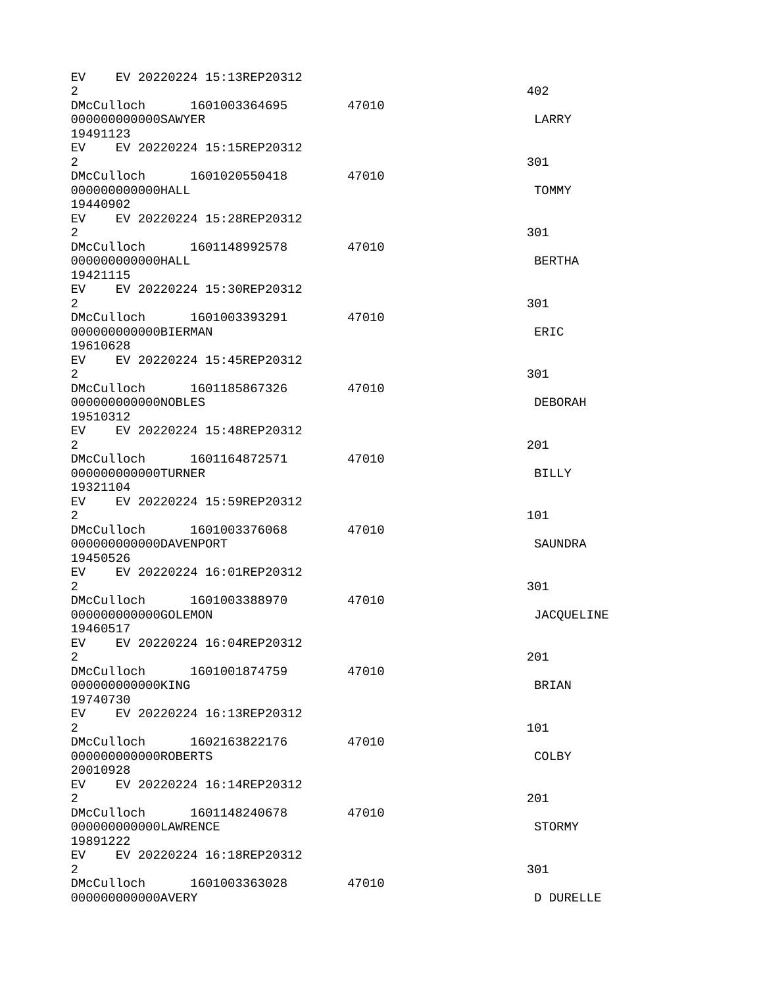EV EV 20220224 15:13REP20312  $2^{402}$ DMcCulloch 1601003364695 47010 000000000000SAWYER LARRY 19491123 EV EV 20220224 15:15REP20312  $2\,$ DMcCulloch 1601020550418 47010 000000000000HALL TOMMY 19440902 EV EV 20220224 15:28REP20312  $2\,$ DMcCulloch 1601148992578 47010 000000000000HALL BERTHA 19421115 EV EV 20220224 15:30REP20312  $2\,$ DMcCulloch 1601003393291 47010 000000000000BIERMAN ERIC 19610628 EV EV 20220224 15:45REP20312  $2\,$ DMcCulloch 1601185867326 47010 000000000000NOBLES DEBORAH 19510312 EV EV 20220224 15:48REP20312  $2<sup>2</sup>$ DMcCulloch 1601164872571 47010 000000000000TURNER BILLY 19321104 EV EV 20220224 15:59REP20312  $2 \t 101$ DMcCulloch 1601003376068 47010 000000000000DAVENPORT SAUNDRA 19450526 EV EV 20220224 16:01REP20312  $2\,$ DMcCulloch 1601003388970 47010 0000000000000GOLEMON details and the control of the control of the control of the control of the control of the control of the control of the control of the control of the control of the control of the control of the contr 19460517 EV EV 20220224 16:04REP20312  $2<sup>2</sup>$ DMcCulloch 1601001874759 47010 00000000000000KING BRIAN 19740730 EV EV 20220224 16:13REP20312  $2 \t 101$ DMcCulloch 1602163822176 47010 000000000000ROBERTS COLBY 20010928 EV EV 20220224 16:14REP20312  $2<sup>2</sup>$ DMcCulloch 1601148240678 47010 000000000000LAWRENCE STORMY 19891222 EV EV 20220224 16:18REP20312  $2\,$ DMcCulloch 1601003363028 47010 000000000000AVERY D DURELLE